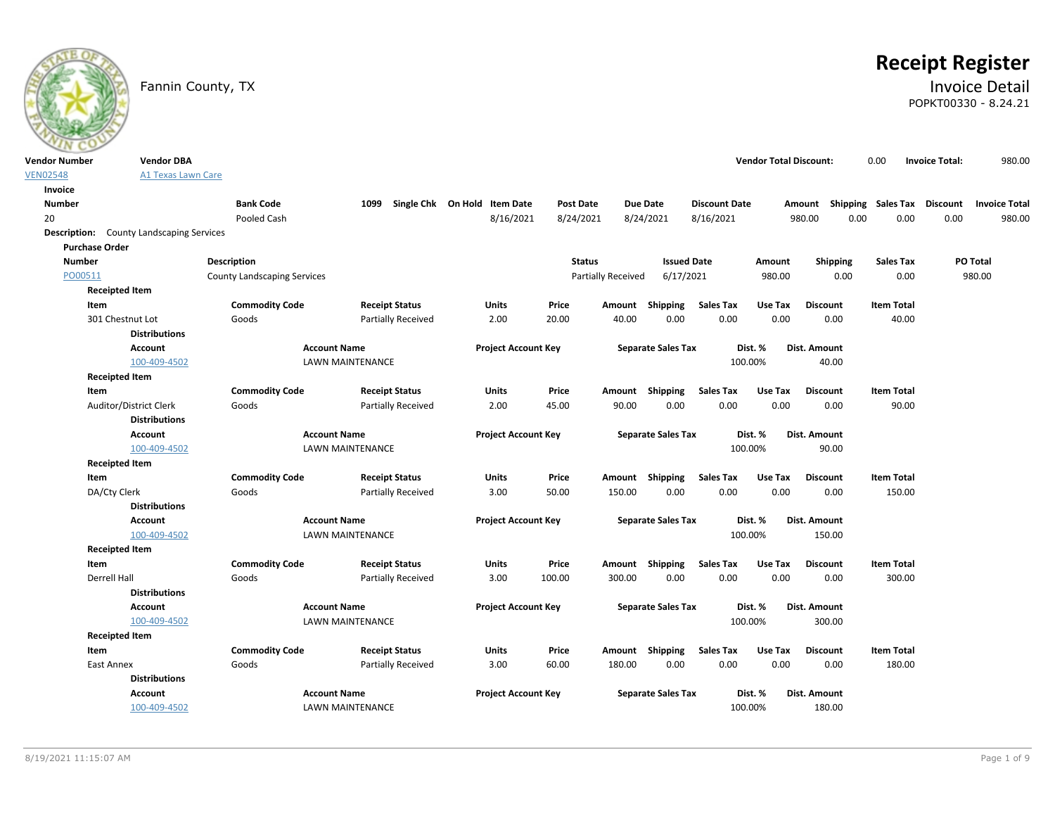

# **Receipt Register**

### Fannin County, TX **Invoice Detail** POPKT00330 - 8.24.21

| <b>Vendor Number</b> | <b>Vendor DBA</b>                               |                                    |                                                    |                              |                  |                           |                           |                          | <b>Vendor Total Discount:</b> |                         | 0.00                        | <b>Invoice Total:</b> | 980.00               |
|----------------------|-------------------------------------------------|------------------------------------|----------------------------------------------------|------------------------------|------------------|---------------------------|---------------------------|--------------------------|-------------------------------|-------------------------|-----------------------------|-----------------------|----------------------|
| <b>VEN02548</b>      | <b>A1 Texas Lawn Care</b>                       |                                    |                                                    |                              |                  |                           |                           |                          |                               |                         |                             |                       |                      |
| Invoice              |                                                 |                                    |                                                    |                              |                  |                           |                           |                          |                               |                         |                             |                       |                      |
| <b>Number</b>        |                                                 | <b>Bank Code</b>                   | 1099                                               | Single Chk On Hold Item Date | <b>Post Date</b> | <b>Due Date</b>           |                           | <b>Discount Date</b>     |                               | Amount                  | Shipping Sales Tax Discount |                       | <b>Invoice Total</b> |
| 20                   |                                                 | Pooled Cash                        |                                                    | 8/16/2021                    | 8/24/2021        | 8/24/2021                 |                           | 8/16/2021                |                               | 980.00<br>0.00          | 0.00                        | 0.00                  | 980.00               |
|                      | <b>Description:</b> County Landscaping Services |                                    |                                                    |                              |                  |                           |                           |                          |                               |                         |                             |                       |                      |
|                      | <b>Purchase Order</b>                           |                                    |                                                    |                              |                  |                           |                           |                          |                               |                         |                             |                       |                      |
| <b>Number</b>        |                                                 | Description                        |                                                    |                              | <b>Status</b>    |                           | <b>Issued Date</b>        |                          | Amount                        | Shipping                | Sales Tax                   |                       | PO Total             |
| PO00511              |                                                 | <b>County Landscaping Services</b> |                                                    |                              |                  | <b>Partially Received</b> | 6/17/2021                 |                          | 980.00                        | 0.00                    | 0.00                        |                       | 980.00               |
|                      | <b>Receipted Item</b>                           |                                    |                                                    |                              |                  |                           |                           |                          |                               |                         |                             |                       |                      |
|                      | Item                                            | <b>Commodity Code</b>              | <b>Receipt Status</b>                              | Units                        | Price            | Amount                    | Shipping                  | <b>Sales Tax</b>         | Use Tax                       | Discount                | <b>Item Total</b>           |                       |                      |
|                      | 301 Chestnut Lot                                | Goods                              | Partially Received                                 | 2.00                         | 20.00            | 40.00                     | 0.00                      | 0.00                     | 0.00                          | 0.00                    | 40.00                       |                       |                      |
|                      | <b>Distributions</b>                            |                                    |                                                    |                              |                  |                           |                           |                          |                               |                         |                             |                       |                      |
|                      | Account                                         |                                    | <b>Account Name</b>                                | <b>Project Account Key</b>   |                  |                           | <b>Separate Sales Tax</b> |                          | Dist. %                       | Dist. Amount            |                             |                       |                      |
|                      | 100-409-4502                                    |                                    | <b>LAWN MAINTENANCE</b>                            |                              |                  |                           |                           |                          | 100.00%                       | 40.00                   |                             |                       |                      |
|                      | <b>Receipted Item</b>                           |                                    |                                                    |                              |                  |                           |                           |                          |                               |                         |                             |                       |                      |
|                      | Item                                            | <b>Commodity Code</b>              | <b>Receipt Status</b>                              | Units                        | Price            | Amount Shipping           |                           | <b>Sales Tax</b>         | Use Tax                       | <b>Discount</b>         | <b>Item Total</b>           |                       |                      |
|                      | Auditor/District Clerk                          | Goods                              | <b>Partially Received</b>                          | 2.00                         | 45.00            | 90.00                     | 0.00                      | 0.00                     | 0.00                          | 0.00                    | 90.00                       |                       |                      |
|                      | <b>Distributions</b>                            |                                    |                                                    |                              |                  |                           |                           |                          |                               |                         |                             |                       |                      |
|                      | <b>Account</b>                                  |                                    | <b>Account Name</b>                                | <b>Project Account Key</b>   |                  |                           | <b>Separate Sales Tax</b> |                          | Dist. %                       | <b>Dist. Amount</b>     |                             |                       |                      |
|                      | 100-409-4502                                    |                                    | <b>LAWN MAINTENANCE</b>                            |                              |                  |                           |                           |                          | 100.00%                       | 90.00                   |                             |                       |                      |
|                      | <b>Receipted Item</b>                           |                                    |                                                    |                              |                  |                           |                           |                          |                               |                         |                             |                       |                      |
|                      | Item                                            | <b>Commodity Code</b>              | <b>Receipt Status</b>                              | Units                        | Price            | Amount Shipping           |                           | <b>Sales Tax</b>         | Use Tax                       | <b>Discount</b>         | <b>Item Total</b>           |                       |                      |
|                      | DA/Cty Clerk                                    | Goods                              | <b>Partially Received</b>                          | 3.00                         | 50.00            | 150.00                    | 0.00                      | 0.00                     | 0.00                          | 0.00                    | 150.00                      |                       |                      |
|                      | <b>Distributions</b>                            |                                    |                                                    |                              |                  |                           |                           |                          |                               |                         |                             |                       |                      |
|                      | <b>Account</b>                                  |                                    | <b>Account Name</b>                                | <b>Project Account Key</b>   |                  |                           | <b>Separate Sales Tax</b> |                          | Dist. %                       | Dist. Amount            |                             |                       |                      |
|                      | 100-409-4502                                    |                                    | <b>LAWN MAINTENANCE</b>                            |                              |                  |                           |                           |                          | 100.00%                       | 150.00                  |                             |                       |                      |
|                      | <b>Receipted Item</b>                           |                                    |                                                    |                              |                  |                           |                           |                          |                               |                         | <b>Item Total</b>           |                       |                      |
|                      | Item<br>Derrell Hall                            | <b>Commodity Code</b><br>Goods     | <b>Receipt Status</b><br><b>Partially Received</b> | Units<br>3.00                | Price<br>100.00  | Amount Shipping<br>300.00 | 0.00                      | <b>Sales Tax</b><br>0.00 | Use Tax<br>0.00               | <b>Discount</b><br>0.00 | 300.00                      |                       |                      |
|                      | <b>Distributions</b>                            |                                    |                                                    |                              |                  |                           |                           |                          |                               |                         |                             |                       |                      |
|                      | <b>Account</b>                                  |                                    | <b>Account Name</b>                                | <b>Project Account Key</b>   |                  |                           | <b>Separate Sales Tax</b> |                          | Dist. %                       | <b>Dist. Amount</b>     |                             |                       |                      |
|                      | 100-409-4502                                    |                                    | LAWN MAINTENANCE                                   |                              |                  |                           |                           |                          | 100.00%                       | 300.00                  |                             |                       |                      |
|                      | <b>Receipted Item</b>                           |                                    |                                                    |                              |                  |                           |                           |                          |                               |                         |                             |                       |                      |
|                      | Item                                            | <b>Commodity Code</b>              | <b>Receipt Status</b>                              | Units                        | Price            | Amount Shipping           |                           | <b>Sales Tax</b>         | Use Tax                       | <b>Discount</b>         | <b>Item Total</b>           |                       |                      |
|                      | East Annex                                      | Goods                              | Partially Received                                 | 3.00                         | 60.00            | 180.00                    | 0.00                      | 0.00                     | 0.00                          | 0.00                    | 180.00                      |                       |                      |
|                      | <b>Distributions</b>                            |                                    |                                                    |                              |                  |                           |                           |                          |                               |                         |                             |                       |                      |
|                      | Account                                         |                                    | <b>Account Name</b>                                | <b>Project Account Key</b>   |                  |                           | <b>Separate Sales Tax</b> |                          | Dist. %                       | Dist. Amount            |                             |                       |                      |
|                      | 100-409-4502                                    |                                    | <b>LAWN MAINTENANCE</b>                            |                              |                  |                           |                           |                          | 100.00%                       | 180.00                  |                             |                       |                      |
|                      |                                                 |                                    |                                                    |                              |                  |                           |                           |                          |                               |                         |                             |                       |                      |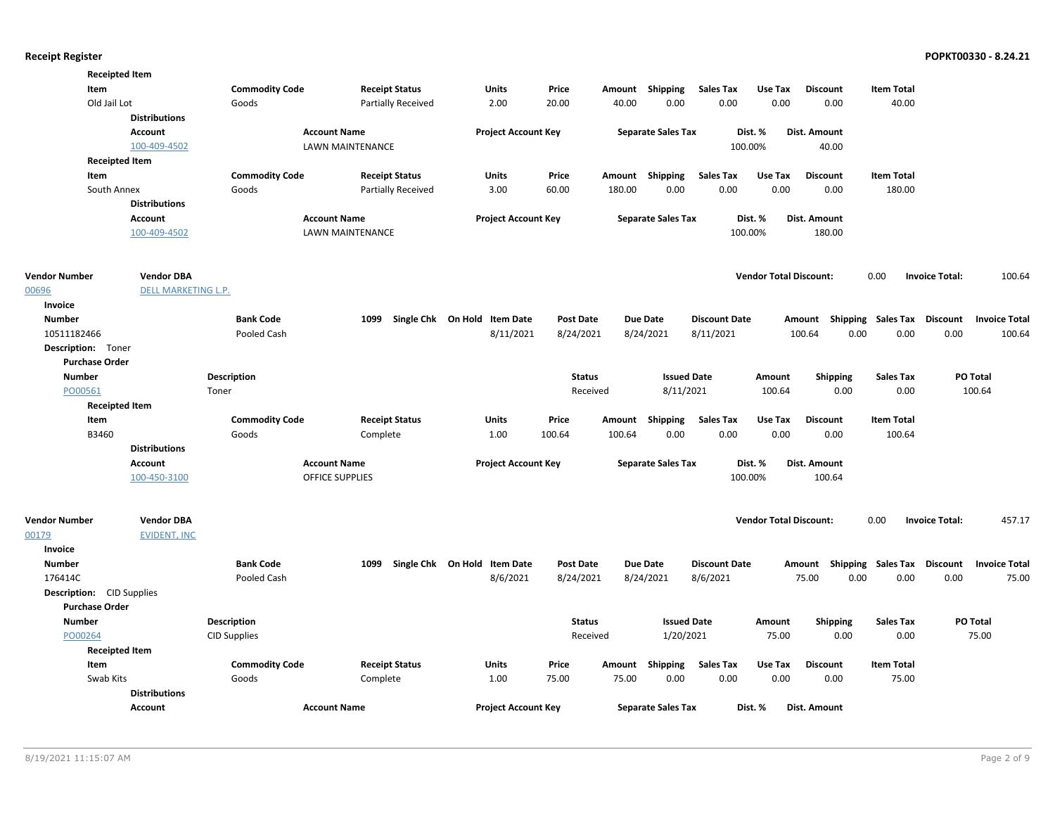|                                  | <b>Receipted Item</b> |                       |                         |                              |                  |        |                           |                      |                               |                                    |                   |                       |                      |
|----------------------------------|-----------------------|-----------------------|-------------------------|------------------------------|------------------|--------|---------------------------|----------------------|-------------------------------|------------------------------------|-------------------|-----------------------|----------------------|
| Item                             |                       | <b>Commodity Code</b> | <b>Receipt Status</b>   | Units                        | Price            | Amount | Shipping                  | <b>Sales Tax</b>     | Use Tax                       | <b>Discount</b>                    | <b>Item Total</b> |                       |                      |
|                                  | Old Jail Lot          | Goods                 | Partially Received      | 2.00                         | 20.00            | 40.00  | 0.00                      | 0.00                 | 0.00                          | 0.00                               | 40.00             |                       |                      |
|                                  | <b>Distributions</b>  |                       |                         |                              |                  |        |                           |                      |                               |                                    |                   |                       |                      |
|                                  | <b>Account</b>        |                       | <b>Account Name</b>     | <b>Project Account Key</b>   |                  |        | <b>Separate Sales Tax</b> |                      | Dist. %                       | Dist. Amount                       |                   |                       |                      |
|                                  | 100-409-4502          |                       | LAWN MAINTENANCE        |                              |                  |        |                           | 100.00%              |                               | 40.00                              |                   |                       |                      |
|                                  | <b>Receipted Item</b> |                       |                         |                              |                  |        |                           |                      |                               |                                    |                   |                       |                      |
| Item                             |                       | <b>Commodity Code</b> | <b>Receipt Status</b>   | Units                        | Price            |        | Amount Shipping           | <b>Sales Tax</b>     | Use Tax                       | <b>Discount</b>                    | <b>Item Total</b> |                       |                      |
|                                  | South Annex           | Goods                 | Partially Received      | 3.00                         | 60.00            | 180.00 | 0.00                      | 0.00                 | 0.00                          | 0.00                               | 180.00            |                       |                      |
|                                  | <b>Distributions</b>  |                       |                         |                              |                  |        |                           |                      |                               |                                    |                   |                       |                      |
|                                  | <b>Account</b>        |                       | <b>Account Name</b>     | <b>Project Account Key</b>   |                  |        | <b>Separate Sales Tax</b> |                      | Dist. %                       | Dist. Amount                       |                   |                       |                      |
|                                  | 100-409-4502          |                       | <b>LAWN MAINTENANCE</b> |                              |                  |        |                           | 100.00%              |                               | 180.00                             |                   |                       |                      |
|                                  |                       |                       |                         |                              |                  |        |                           |                      |                               |                                    |                   |                       |                      |
| <b>Vendor Number</b>             | <b>Vendor DBA</b>     |                       |                         |                              |                  |        |                           |                      | <b>Vendor Total Discount:</b> |                                    | 0.00              | <b>Invoice Total:</b> | 100.64               |
| 00696                            | DELL MARKETING L.P.   |                       |                         |                              |                  |        |                           |                      |                               |                                    |                   |                       |                      |
| Invoice                          |                       |                       |                         |                              |                  |        |                           |                      |                               |                                    |                   |                       |                      |
| <b>Number</b>                    |                       | <b>Bank Code</b>      | 1099                    | Single Chk On Hold Item Date | <b>Post Date</b> |        | <b>Due Date</b>           | <b>Discount Date</b> |                               | Amount Shipping Sales Tax Discount |                   |                       | <b>Invoice Total</b> |
| 10511182466                      |                       | Pooled Cash           |                         | 8/11/2021                    | 8/24/2021        |        | 8/24/2021                 | 8/11/2021            |                               | 100.64<br>0.00                     | 0.00              | 0.00                  | 100.64               |
| Description: Toner               |                       |                       |                         |                              |                  |        |                           |                      |                               |                                    |                   |                       |                      |
| <b>Purchase Order</b>            |                       |                       |                         |                              |                  |        |                           |                      |                               |                                    |                   |                       |                      |
| <b>Number</b>                    |                       | <b>Description</b>    |                         |                              | <b>Status</b>    |        | <b>Issued Date</b>        |                      | Amount                        | <b>Shipping</b>                    | <b>Sales Tax</b>  |                       | PO Total             |
| PO00561                          |                       | Toner                 |                         |                              | Received         |        | 8/11/2021                 |                      | 100.64                        | 0.00                               | 0.00              |                       | 100.64               |
|                                  | <b>Receipted Item</b> |                       |                         |                              |                  |        |                           |                      |                               |                                    |                   |                       |                      |
| Item                             |                       | <b>Commodity Code</b> | <b>Receipt Status</b>   | <b>Units</b>                 | Price            |        | Amount Shipping           | <b>Sales Tax</b>     | Use Tax                       | <b>Discount</b>                    | <b>Item Total</b> |                       |                      |
| B3460                            |                       | Goods                 | Complete                | 1.00                         | 100.64           | 100.64 | 0.00                      | 0.00                 | 0.00                          | 0.00                               | 100.64            |                       |                      |
|                                  | <b>Distributions</b>  |                       |                         |                              |                  |        |                           |                      |                               |                                    |                   |                       |                      |
|                                  | <b>Account</b>        |                       | <b>Account Name</b>     | <b>Project Account Key</b>   |                  |        | <b>Separate Sales Tax</b> |                      | Dist. %                       | Dist. Amount                       |                   |                       |                      |
|                                  | 100-450-3100          |                       | <b>OFFICE SUPPLIES</b>  |                              |                  |        |                           | 100.00%              |                               | 100.64                             |                   |                       |                      |
|                                  |                       |                       |                         |                              |                  |        |                           |                      |                               |                                    |                   |                       |                      |
| <b>Vendor Number</b>             | <b>Vendor DBA</b>     |                       |                         |                              |                  |        |                           |                      | <b>Vendor Total Discount:</b> |                                    | 0.00              | <b>Invoice Total:</b> | 457.17               |
| 00179                            | <b>EVIDENT, INC</b>   |                       |                         |                              |                  |        |                           |                      |                               |                                    |                   |                       |                      |
| Invoice                          |                       |                       |                         |                              |                  |        |                           |                      |                               |                                    |                   |                       |                      |
| <b>Number</b>                    |                       | <b>Bank Code</b>      | 1099                    | Single Chk On Hold Item Date | <b>Post Date</b> |        | <b>Due Date</b>           | <b>Discount Date</b> |                               | Amount Shipping Sales Tax Discount |                   |                       | <b>Invoice Total</b> |
| 176414C                          |                       | Pooled Cash           |                         | 8/6/2021                     | 8/24/2021        |        | 8/24/2021                 | 8/6/2021             |                               | 75.00<br>0.00                      | 0.00              | 0.00                  | 75.00                |
| <b>Description:</b> CID Supplies |                       |                       |                         |                              |                  |        |                           |                      |                               |                                    |                   |                       |                      |
| <b>Purchase Order</b>            |                       |                       |                         |                              |                  |        |                           |                      |                               |                                    |                   |                       |                      |
| <b>Number</b>                    |                       | <b>Description</b>    |                         |                              | <b>Status</b>    |        | <b>Issued Date</b>        |                      | Amount                        | <b>Shipping</b>                    | <b>Sales Tax</b>  |                       | PO Total             |
| PO00264                          |                       | <b>CID Supplies</b>   |                         |                              | Received         |        | 1/20/2021                 |                      | 75.00                         | 0.00                               | 0.00              |                       | 75.00                |
|                                  | <b>Receipted Item</b> |                       |                         |                              |                  |        |                           |                      |                               |                                    |                   |                       |                      |
| Item                             |                       | <b>Commodity Code</b> | <b>Receipt Status</b>   | Units                        | Price            | Amount | Shipping                  | <b>Sales Tax</b>     | Use Tax                       | <b>Discount</b>                    | <b>Item Total</b> |                       |                      |
|                                  | Swab Kits             | Goods                 | Complete                | 1.00                         | 75.00            | 75.00  | 0.00                      | 0.00                 | 0.00                          | 0.00                               | 75.00             |                       |                      |
|                                  | <b>Distributions</b>  |                       |                         |                              |                  |        |                           |                      |                               |                                    |                   |                       |                      |
|                                  | Account               |                       | <b>Account Name</b>     | <b>Project Account Key</b>   |                  |        | <b>Separate Sales Tax</b> |                      | Dist. %                       | Dist. Amount                       |                   |                       |                      |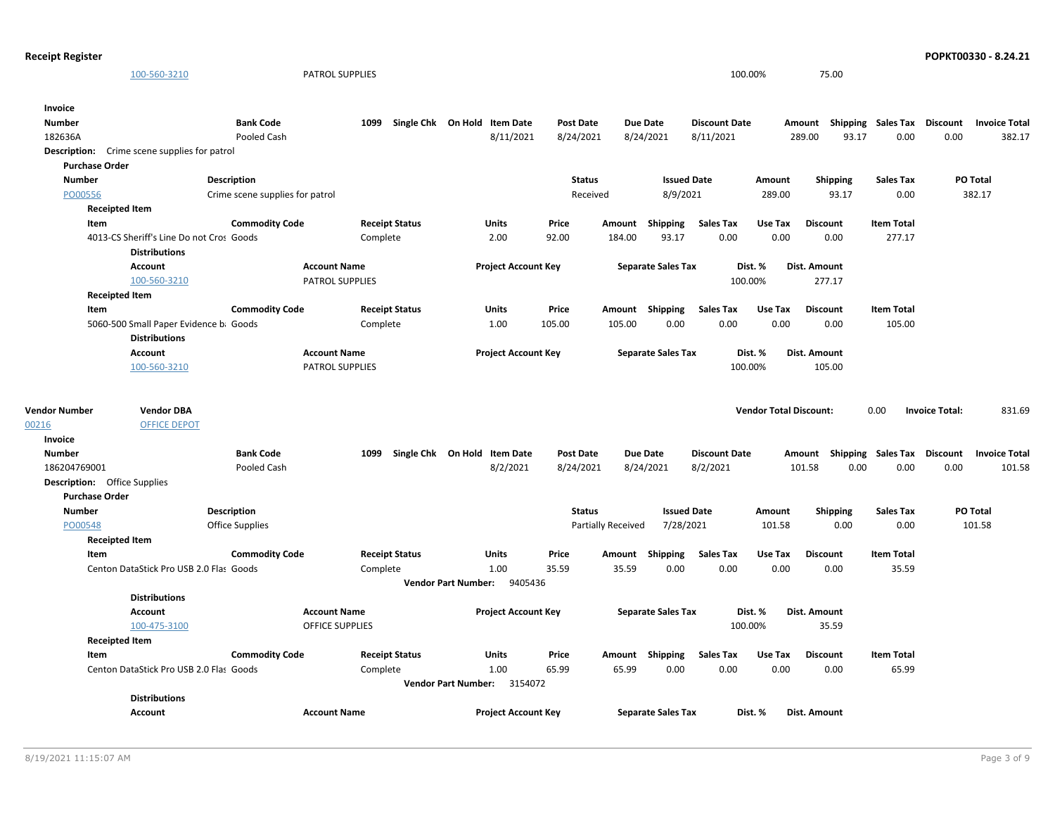| <b>Receipt Register</b>             |                                                                  |                                 |                        |                                   |                            |                  |                    |                           |                      |                               |                 |                 |                                    |                       | POPKT00330 - 8.24.21 |
|-------------------------------------|------------------------------------------------------------------|---------------------------------|------------------------|-----------------------------------|----------------------------|------------------|--------------------|---------------------------|----------------------|-------------------------------|-----------------|-----------------|------------------------------------|-----------------------|----------------------|
|                                     | 100-560-3210                                                     |                                 | <b>PATROL SUPPLIES</b> |                                   |                            |                  |                    |                           | 100.00%              |                               | 75.00           |                 |                                    |                       |                      |
| Invoice                             |                                                                  |                                 |                        |                                   |                            |                  |                    |                           |                      |                               |                 |                 |                                    |                       |                      |
| <b>Number</b>                       |                                                                  | <b>Bank Code</b>                |                        | 1099 Single Chk On Hold Item Date |                            | <b>Post Date</b> |                    | Due Date                  | <b>Discount Date</b> |                               |                 |                 | Amount Shipping Sales Tax Discount |                       | <b>Invoice Total</b> |
| 182636A                             |                                                                  | Pooled Cash                     |                        |                                   | 8/11/2021                  | 8/24/2021        |                    | 8/24/2021                 | 8/11/2021            |                               | 289.00          | 93.17           | 0.00                               | 0.00                  | 382.17               |
|                                     | <b>Description:</b> Crime scene supplies for patrol              |                                 |                        |                                   |                            |                  |                    |                           |                      |                               |                 |                 |                                    |                       |                      |
| <b>Purchase Order</b>               |                                                                  |                                 |                        |                                   |                            |                  |                    |                           |                      |                               |                 |                 |                                    |                       |                      |
| <b>Number</b>                       |                                                                  | <b>Description</b>              |                        |                                   |                            | <b>Status</b>    |                    | <b>Issued Date</b>        |                      | Amount                        |                 | <b>Shipping</b> | <b>Sales Tax</b>                   |                       | PO Total             |
| PO00556                             |                                                                  | Crime scene supplies for patrol |                        |                                   |                            | Received         |                    | 8/9/2021                  |                      | 289.00                        |                 | 93.17           | 0.00                               |                       | 382.17               |
|                                     | <b>Receipted Item</b>                                            |                                 |                        |                                   |                            |                  |                    |                           |                      |                               |                 |                 |                                    |                       |                      |
| Item                                |                                                                  | <b>Commodity Code</b>           | <b>Receipt Status</b>  | Units                             |                            | Price            | Amount             | Shipping                  | <b>Sales Tax</b>     | Use Tax                       | Discount        |                 | <b>Item Total</b>                  |                       |                      |
|                                     | 4013-CS Sheriff's Line Do not Cros Goods<br><b>Distributions</b> |                                 | Complete               | 2.00                              |                            | 92.00            | 184.00             | 93.17                     | 0.00                 | 0.00                          |                 | 0.00            | 277.17                             |                       |                      |
|                                     | Account                                                          |                                 | <b>Account Name</b>    |                                   | <b>Project Account Key</b> |                  |                    | <b>Separate Sales Tax</b> |                      | Dist. %                       | Dist. Amount    |                 |                                    |                       |                      |
|                                     | 100-560-3210                                                     |                                 | <b>PATROL SUPPLIES</b> |                                   |                            |                  |                    |                           | 100.00%              |                               | 277.17          |                 |                                    |                       |                      |
|                                     | <b>Receipted Item</b>                                            |                                 |                        |                                   |                            |                  |                    |                           |                      |                               |                 |                 |                                    |                       |                      |
| Item                                |                                                                  | <b>Commodity Code</b>           | <b>Receipt Status</b>  | <b>Units</b>                      |                            | Price            |                    | Amount Shipping           | <b>Sales Tax</b>     | Use Tax                       | <b>Discount</b> |                 | <b>Item Total</b>                  |                       |                      |
|                                     | 5060-500 Small Paper Evidence b: Goods                           |                                 | Complete               | 1.00                              |                            | 105.00           | 105.00             | 0.00                      | 0.00                 | 0.00                          |                 | 0.00            | 105.00                             |                       |                      |
|                                     | <b>Distributions</b>                                             |                                 |                        |                                   |                            |                  |                    |                           |                      |                               |                 |                 |                                    |                       |                      |
|                                     | Account                                                          |                                 | <b>Account Name</b>    |                                   | <b>Project Account Key</b> |                  |                    | <b>Separate Sales Tax</b> |                      | Dist. %                       | Dist. Amount    |                 |                                    |                       |                      |
|                                     | 100-560-3210                                                     |                                 | <b>PATROL SUPPLIES</b> |                                   |                            |                  |                    |                           | 100.00%              |                               | 105.00          |                 |                                    |                       |                      |
| <b>Vendor Number</b>                | <b>Vendor DBA</b>                                                |                                 |                        |                                   |                            |                  |                    |                           |                      | <b>Vendor Total Discount:</b> |                 |                 | 0.00                               | <b>Invoice Total:</b> | 831.69               |
| 00216                               | <b>OFFICE DEPOT</b>                                              |                                 |                        |                                   |                            |                  |                    |                           |                      |                               |                 |                 |                                    |                       |                      |
| Invoice                             |                                                                  |                                 |                        |                                   |                            |                  |                    |                           |                      |                               |                 |                 |                                    |                       |                      |
| <b>Number</b>                       |                                                                  | <b>Bank Code</b>                | 1099                   | Single Chk On Hold Item Date      |                            | <b>Post Date</b> |                    | <b>Due Date</b>           | <b>Discount Date</b> |                               |                 |                 | Amount Shipping Sales Tax Discount |                       | <b>Invoice Total</b> |
| 186204769001                        |                                                                  | Pooled Cash                     |                        |                                   | 8/2/2021                   | 8/24/2021        |                    | 8/24/2021                 | 8/2/2021             |                               | 101.58          | 0.00            | 0.00                               | 0.00                  | 101.58               |
| <b>Description:</b> Office Supplies |                                                                  |                                 |                        |                                   |                            |                  |                    |                           |                      |                               |                 |                 |                                    |                       |                      |
| <b>Purchase Order</b>               |                                                                  |                                 |                        |                                   |                            |                  |                    |                           |                      |                               |                 |                 |                                    |                       |                      |
| <b>Number</b>                       |                                                                  | <b>Description</b>              |                        |                                   |                            | <b>Status</b>    |                    | <b>Issued Date</b>        |                      | Amount                        |                 | <b>Shipping</b> | <b>Sales Tax</b>                   |                       | PO Total             |
| PO00548                             |                                                                  | Office Supplies                 |                        |                                   |                            |                  | Partially Received | 7/28/2021                 |                      | 101.58                        |                 | 0.00            | 0.00                               |                       | 101.58               |
|                                     | <b>Receipted Item</b>                                            |                                 |                        |                                   |                            |                  |                    |                           |                      |                               |                 |                 |                                    |                       |                      |
| Item                                |                                                                  | <b>Commodity Code</b>           | <b>Receipt Status</b>  | <b>Units</b>                      |                            | Price            | Amount             | Shipping                  | <b>Sales Tax</b>     | Use Tax                       | <b>Discount</b> |                 | <b>Item Total</b>                  |                       |                      |
|                                     | Centon DataStick Pro USB 2.0 Flas Goods                          |                                 | Complete               | 1.00                              |                            | 35.59            | 35.59              | 0.00                      | 0.00                 | 0.00                          |                 | 0.00            | 35.59                              |                       |                      |
|                                     |                                                                  |                                 |                        | <b>Vendor Part Number:</b>        | 9405436                    |                  |                    |                           |                      |                               |                 |                 |                                    |                       |                      |
|                                     | <b>Distributions</b>                                             |                                 |                        |                                   |                            |                  |                    |                           |                      |                               |                 |                 |                                    |                       |                      |
|                                     | Account                                                          |                                 | <b>Account Name</b>    |                                   | <b>Project Account Key</b> |                  |                    | <b>Separate Sales Tax</b> |                      | Dist. %                       | Dist. Amount    |                 |                                    |                       |                      |
|                                     | 100-475-3100                                                     |                                 | <b>OFFICE SUPPLIES</b> |                                   |                            |                  |                    |                           | 100.00%              |                               | 35.59           |                 |                                    |                       |                      |
|                                     | <b>Receipted Item</b>                                            |                                 |                        |                                   |                            |                  |                    |                           |                      |                               |                 |                 |                                    |                       |                      |
| Item                                |                                                                  | <b>Commodity Code</b>           | <b>Receipt Status</b>  | <b>Units</b>                      |                            | Price            |                    | Amount Shipping           | <b>Sales Tax</b>     | Use Tax                       | Discount        |                 | <b>Item Total</b>                  |                       |                      |
|                                     | Centon DataStick Pro USB 2.0 Flas Goods                          |                                 | Complete               | 1.00                              |                            | 65.99            | 65.99              | 0.00                      | 0.00                 | 0.00                          |                 | 0.00            | 65.99                              |                       |                      |
|                                     |                                                                  |                                 |                        | Vendor Part Number: 3154072       |                            |                  |                    |                           |                      |                               |                 |                 |                                    |                       |                      |
|                                     | <b>Distributions</b>                                             |                                 |                        |                                   |                            |                  |                    |                           |                      |                               |                 |                 |                                    |                       |                      |
|                                     | Account                                                          |                                 | <b>Account Name</b>    |                                   | <b>Project Account Key</b> |                  |                    | <b>Separate Sales Tax</b> |                      | Dist. %                       | Dist. Amount    |                 |                                    |                       |                      |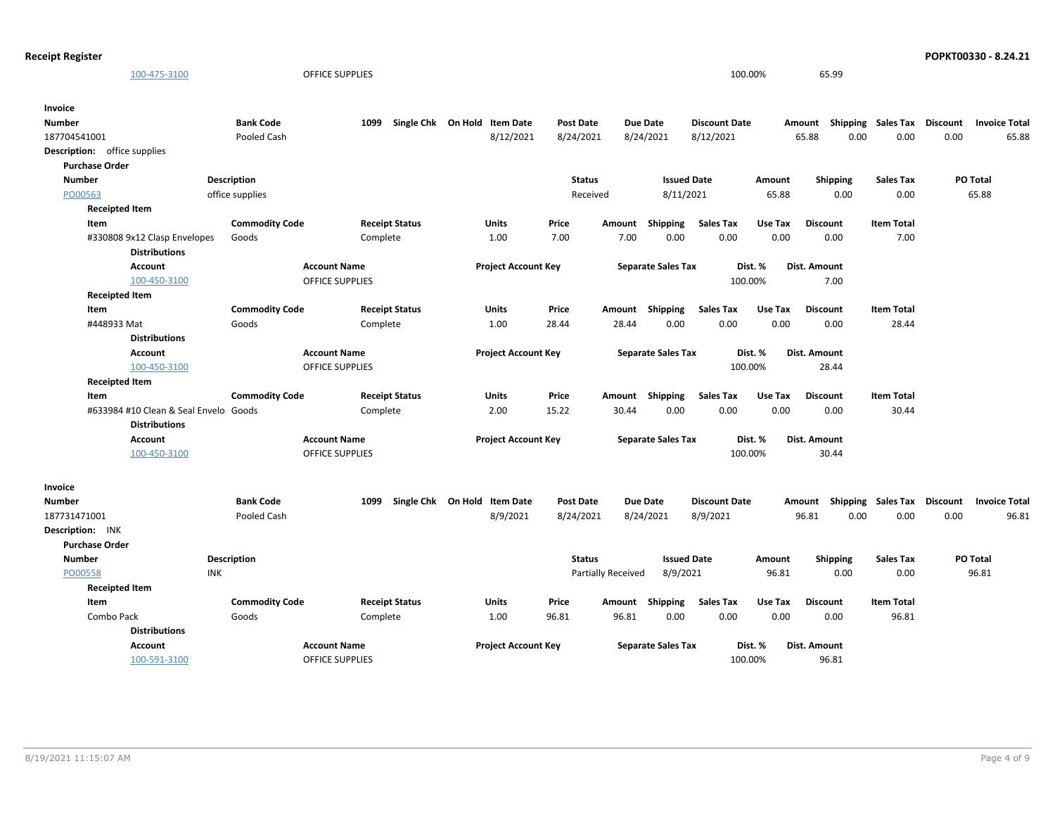```
Receipt Register POPKT00330 - 8.24.21
```

|                       | 100-475-3100                          |                                | <b>OFFICE SUPPLIES</b>            |                              |                  |                    |                           |                          | 100.00%         | 65.99                              |                   |          |                      |
|-----------------------|---------------------------------------|--------------------------------|-----------------------------------|------------------------------|------------------|--------------------|---------------------------|--------------------------|-----------------|------------------------------------|-------------------|----------|----------------------|
|                       |                                       |                                |                                   |                              |                  |                    |                           |                          |                 |                                    |                   |          |                      |
| Invoice               |                                       |                                |                                   |                              |                  |                    |                           |                          |                 |                                    |                   |          |                      |
| Number                |                                       | <b>Bank Code</b>               | 1099                              | Single Chk On Hold Item Date | <b>Post Date</b> |                    | <b>Due Date</b>           | <b>Discount Date</b>     |                 | Amount Shipping Sales Tax          |                   | Discount | <b>Invoice Total</b> |
| 187704541001          |                                       | Pooled Cash                    |                                   | 8/12/2021                    | 8/24/2021        |                    | 8/24/2021                 | 8/12/2021                |                 | 65.88<br>0.00                      | 0.00              | 0.00     | 65.88                |
|                       | <b>Description:</b> office supplies   |                                |                                   |                              |                  |                    |                           |                          |                 |                                    |                   |          |                      |
| <b>Purchase Order</b> |                                       |                                |                                   |                              |                  |                    |                           |                          |                 |                                    |                   |          |                      |
| <b>Number</b>         |                                       | <b>Description</b>             |                                   |                              | <b>Status</b>    |                    | <b>Issued Date</b>        |                          | Amount          | <b>Shipping</b>                    | <b>Sales Tax</b>  |          | PO Total             |
| PO00563               |                                       | office supplies                |                                   |                              | Received         |                    | 8/11/2021                 |                          | 65.88           | 0.00                               | 0.00              |          | 65.88                |
|                       | <b>Receipted Item</b>                 |                                |                                   |                              |                  |                    |                           |                          |                 |                                    | <b>Item Total</b> |          |                      |
| Item                  | #330808 9x12 Clasp Envelopes          | <b>Commodity Code</b><br>Goods | <b>Receipt Status</b><br>Complete | Units<br>1.00                | Price<br>7.00    | Amount<br>7.00     | Shipping<br>0.00          | <b>Sales Tax</b><br>0.00 | Use Tax<br>0.00 | <b>Discount</b><br>0.00            | 7.00              |          |                      |
|                       | <b>Distributions</b>                  |                                |                                   |                              |                  |                    |                           |                          |                 |                                    |                   |          |                      |
|                       | <b>Account</b>                        |                                | <b>Account Name</b>               | <b>Project Account Key</b>   |                  |                    | <b>Separate Sales Tax</b> |                          | Dist. %         | Dist. Amount                       |                   |          |                      |
|                       | 100-450-3100                          |                                | <b>OFFICE SUPPLIES</b>            |                              |                  |                    |                           |                          | 100.00%         | 7.00                               |                   |          |                      |
|                       | <b>Receipted Item</b>                 |                                |                                   |                              |                  |                    |                           |                          |                 |                                    |                   |          |                      |
| Item                  |                                       | <b>Commodity Code</b>          | <b>Receipt Status</b>             | Units                        | Price            | Amount             | <b>Shipping</b>           | <b>Sales Tax</b>         | Use Tax         | <b>Discount</b>                    | <b>Item Total</b> |          |                      |
|                       | #448933 Mat                           | Goods                          | Complete                          | 1.00                         | 28.44            | 28.44              | 0.00                      | 0.00                     | 0.00            | 0.00                               | 28.44             |          |                      |
|                       | <b>Distributions</b>                  |                                |                                   |                              |                  |                    |                           |                          |                 |                                    |                   |          |                      |
|                       | <b>Account</b>                        |                                | <b>Account Name</b>               | <b>Project Account Key</b>   |                  |                    | <b>Separate Sales Tax</b> |                          | Dist. %         | Dist. Amount                       |                   |          |                      |
|                       | 100-450-3100                          |                                | <b>OFFICE SUPPLIES</b>            |                              |                  |                    |                           | 100.00%                  |                 | 28.44                              |                   |          |                      |
|                       | <b>Receipted Item</b>                 |                                |                                   |                              |                  |                    |                           |                          |                 |                                    |                   |          |                      |
| Item                  |                                       | <b>Commodity Code</b>          | <b>Receipt Status</b>             | Units                        | Price            | Amount             | Shipping                  | <b>Sales Tax</b>         | Use Tax         | <b>Discount</b>                    | <b>Item Total</b> |          |                      |
|                       | #633984 #10 Clean & Seal Envelo Goods |                                | Complete                          | 2.00                         | 15.22            | 30.44              | 0.00                      | 0.00                     | 0.00            | 0.00                               | 30.44             |          |                      |
|                       | <b>Distributions</b>                  |                                |                                   |                              |                  |                    |                           |                          |                 |                                    |                   |          |                      |
|                       | <b>Account</b>                        |                                | <b>Account Name</b>               | <b>Project Account Key</b>   |                  |                    | <b>Separate Sales Tax</b> |                          | Dist. %         | Dist. Amount                       |                   |          |                      |
|                       | 100-450-3100                          |                                | OFFICE SUPPLIES                   |                              |                  |                    |                           |                          | 100.00%         | 30.44                              |                   |          |                      |
|                       |                                       |                                |                                   |                              |                  |                    |                           |                          |                 |                                    |                   |          |                      |
| Invoice               |                                       |                                |                                   |                              |                  |                    |                           |                          |                 |                                    |                   |          |                      |
| Number                |                                       | <b>Bank Code</b>               | 1099                              | Single Chk On Hold Item Date | <b>Post Date</b> |                    | <b>Due Date</b>           | <b>Discount Date</b>     |                 | Amount Shipping Sales Tax Discount |                   |          | <b>Invoice Total</b> |
| 187731471001          |                                       | Pooled Cash                    |                                   | 8/9/2021                     | 8/24/2021        |                    | 8/24/2021                 | 8/9/2021                 |                 | 96.81<br>0.00                      | 0.00              | 0.00     | 96.81                |
| Description: INK      |                                       |                                |                                   |                              |                  |                    |                           |                          |                 |                                    |                   |          |                      |
| <b>Purchase Order</b> |                                       |                                |                                   |                              |                  |                    |                           |                          |                 |                                    |                   |          |                      |
| <b>Number</b>         |                                       | Description                    |                                   |                              | <b>Status</b>    |                    | <b>Issued Date</b>        |                          | Amount          | Shipping                           | Sales Tax         |          | PO Total             |
| PO00558               | <b>INK</b>                            |                                |                                   |                              |                  | Partially Received | 8/9/2021                  |                          | 96.81           | 0.00                               | 0.00              |          | 96.81                |
|                       | <b>Receipted Item</b>                 |                                |                                   |                              |                  |                    |                           |                          |                 |                                    |                   |          |                      |
| Item                  |                                       | <b>Commodity Code</b>          | <b>Receipt Status</b>             | <b>Units</b>                 | Price            | Amount             | Shipping                  | <b>Sales Tax</b>         | Use Tax         | <b>Discount</b>                    | <b>Item Total</b> |          |                      |
|                       | Combo Pack                            | Goods                          | Complete                          | 1.00                         | 96.81            | 96.81              | 0.00                      | 0.00                     | 0.00            | 0.00                               | 96.81             |          |                      |
|                       | <b>Distributions</b>                  |                                |                                   |                              |                  |                    |                           |                          |                 |                                    |                   |          |                      |
|                       | <b>Account</b>                        |                                | <b>Account Name</b>               | <b>Project Account Key</b>   |                  |                    | <b>Separate Sales Tax</b> |                          | Dist. %         | <b>Dist. Amount</b>                |                   |          |                      |
|                       | 100-591-3100                          |                                | <b>OFFICE SUPPLIES</b>            |                              |                  |                    |                           |                          | 100.00%         | 96.81                              |                   |          |                      |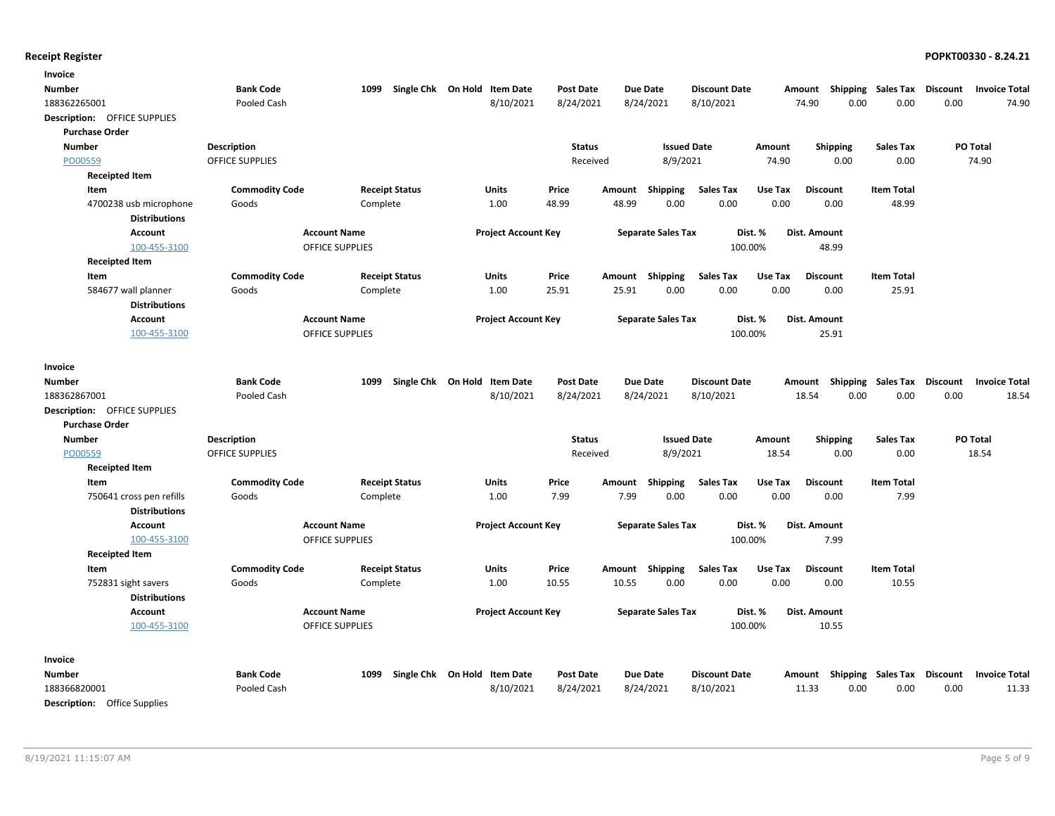| Invoice                      |                                              |                                   |                              |                           |                |                                |                      |                 |                                                  |                          |      |                      |
|------------------------------|----------------------------------------------|-----------------------------------|------------------------------|---------------------------|----------------|--------------------------------|----------------------|-----------------|--------------------------------------------------|--------------------------|------|----------------------|
| <b>Number</b>                | <b>Bank Code</b>                             | 1099                              | Single Chk On Hold Item Date | <b>Post Date</b>          |                | Due Date                       | <b>Discount Date</b> |                 | Amount Shipping Sales Tax Discount               |                          |      | <b>Invoice Total</b> |
| 188362265001                 | Pooled Cash                                  |                                   | 8/10/2021                    | 8/24/2021                 |                | 8/24/2021                      | 8/10/2021            |                 | 74.90<br>0.00                                    | 0.00                     | 0.00 | 74.90                |
| Description: OFFICE SUPPLIES |                                              |                                   |                              |                           |                |                                |                      |                 |                                                  |                          |      |                      |
| <b>Purchase Order</b>        |                                              |                                   |                              |                           |                |                                |                      |                 |                                                  |                          |      |                      |
| <b>Number</b>                | <b>Description</b>                           |                                   |                              | <b>Status</b>             |                | <b>Issued Date</b>             |                      | Amount          | <b>Shipping</b>                                  | <b>Sales Tax</b>         |      | PO Total             |
| PO00559                      | <b>OFFICE SUPPLIES</b>                       |                                   |                              | Received                  |                | 8/9/2021                       |                      | 74.90           | 0.00                                             | 0.00                     |      | 74.90                |
| <b>Receipted Item</b>        |                                              |                                   |                              |                           |                |                                |                      |                 |                                                  |                          |      |                      |
| Item                         | <b>Commodity Code</b>                        | <b>Receipt Status</b>             | Units                        | Price                     | Amount         | <b>Shipping</b>                | <b>Sales Tax</b>     | Use Tax         | <b>Discount</b>                                  | <b>Item Total</b>        |      |                      |
| 4700238 usb microphone       | Goods                                        | Complete                          | 1.00                         | 48.99                     | 48.99          | 0.00                           | 0.00                 | 0.00            | 0.00                                             | 48.99                    |      |                      |
| <b>Distributions</b>         |                                              |                                   |                              |                           |                |                                |                      |                 |                                                  |                          |      |                      |
| <b>Account</b>               |                                              | <b>Account Name</b>               | <b>Project Account Key</b>   |                           |                | <b>Separate Sales Tax</b>      |                      | Dist. %         | Dist. Amount                                     |                          |      |                      |
| 100-455-3100                 |                                              | <b>OFFICE SUPPLIES</b>            |                              |                           |                |                                | 100.00%              |                 | 48.99                                            |                          |      |                      |
| <b>Receipted Item</b>        |                                              |                                   |                              |                           |                |                                |                      |                 |                                                  |                          |      |                      |
| Item                         | <b>Commodity Code</b>                        | <b>Receipt Status</b>             | Units                        | Price                     |                | Amount Shipping                | <b>Sales Tax</b>     | Use Tax         | <b>Discount</b>                                  | <b>Item Total</b>        |      |                      |
| 584677 wall planner          | Goods                                        | Complete                          | 1.00                         | 25.91                     | 25.91          | 0.00                           | 0.00                 | 0.00            | 0.00                                             | 25.91                    |      |                      |
| <b>Distributions</b>         |                                              |                                   |                              |                           |                |                                |                      |                 |                                                  |                          |      |                      |
| <b>Account</b>               |                                              | <b>Account Name</b>               | <b>Project Account Key</b>   |                           |                | <b>Separate Sales Tax</b>      |                      | Dist. %         | Dist. Amount                                     |                          |      |                      |
| 100-455-3100                 |                                              | <b>OFFICE SUPPLIES</b>            |                              |                           |                |                                | 100.00%              |                 | 25.91                                            |                          |      |                      |
|                              |                                              |                                   |                              |                           |                |                                |                      |                 |                                                  |                          |      |                      |
| Invoice                      |                                              |                                   |                              |                           |                |                                |                      |                 |                                                  |                          |      |                      |
| <b>Number</b>                | <b>Bank Code</b>                             | 1099                              | Single Chk On Hold Item Date | <b>Post Date</b>          |                | Due Date                       | <b>Discount Date</b> |                 | Amount Shipping Sales Tax Discount Invoice Total |                          |      |                      |
| 188362867001                 | Pooled Cash                                  |                                   | 8/10/2021                    | 8/24/2021                 |                | 8/24/2021                      | 8/10/2021            |                 | 18.54<br>0.00                                    | 0.00                     | 0.00 | 18.54                |
| Description: OFFICE SUPPLIES |                                              |                                   |                              |                           |                |                                |                      |                 |                                                  |                          |      |                      |
| <b>Purchase Order</b>        |                                              |                                   |                              |                           |                |                                |                      |                 |                                                  |                          |      |                      |
| <b>Number</b><br>PO00559     | <b>Description</b><br><b>OFFICE SUPPLIES</b> |                                   |                              | <b>Status</b><br>Received |                | <b>Issued Date</b><br>8/9/2021 |                      | Amount<br>18.54 | <b>Shipping</b><br>0.00                          | <b>Sales Tax</b><br>0.00 |      | PO Total<br>18.54    |
| <b>Receipted Item</b>        |                                              |                                   |                              |                           |                |                                |                      |                 |                                                  |                          |      |                      |
| Item                         |                                              |                                   | Units                        | Price                     |                |                                |                      | Use Tax         | <b>Discount</b>                                  | <b>Item Total</b>        |      |                      |
| 750641 cross pen refills     | <b>Commodity Code</b><br>Goods               | <b>Receipt Status</b><br>Complete | 1.00                         | 7.99                      | Amount<br>7.99 | <b>Shipping</b><br>0.00        | Sales Tax<br>0.00    | 0.00            | 0.00                                             | 7.99                     |      |                      |
| <b>Distributions</b>         |                                              |                                   |                              |                           |                |                                |                      |                 |                                                  |                          |      |                      |
| <b>Account</b>               |                                              | <b>Account Name</b>               | <b>Project Account Key</b>   |                           |                | <b>Separate Sales Tax</b>      |                      | Dist. %         | Dist. Amount                                     |                          |      |                      |
| 100-455-3100                 |                                              | <b>OFFICE SUPPLIES</b>            |                              |                           |                |                                | 100.00%              |                 | 7.99                                             |                          |      |                      |
| <b>Receipted Item</b>        |                                              |                                   |                              |                           |                |                                |                      |                 |                                                  |                          |      |                      |
| Item                         | <b>Commodity Code</b>                        | <b>Receipt Status</b>             | Units                        | Price                     |                | Amount Shipping                | <b>Sales Tax</b>     | Use Tax         | <b>Discount</b>                                  | <b>Item Total</b>        |      |                      |
| 752831 sight savers          | Goods                                        | Complete                          | 1.00                         | 10.55                     | 10.55          | 0.00                           | 0.00                 | 0.00            | 0.00                                             | 10.55                    |      |                      |
| <b>Distributions</b>         |                                              |                                   |                              |                           |                |                                |                      |                 |                                                  |                          |      |                      |
| <b>Account</b>               |                                              | <b>Account Name</b>               | <b>Project Account Key</b>   |                           |                | <b>Separate Sales Tax</b>      |                      | Dist. %         | Dist. Amount                                     |                          |      |                      |
| 100-455-3100                 |                                              | <b>OFFICE SUPPLIES</b>            |                              |                           |                |                                | 100.00%              |                 | 10.55                                            |                          |      |                      |
|                              |                                              |                                   |                              |                           |                |                                |                      |                 |                                                  |                          |      |                      |
| Invoice                      |                                              |                                   |                              |                           |                |                                |                      |                 |                                                  |                          |      |                      |
| Number                       | <b>Bank Code</b>                             | 1099                              | Single Chk On Hold Item Date | <b>Post Date</b>          |                | Due Date                       | <b>Discount Date</b> |                 | Amount Shipping Sales Tax Discount               |                          |      | <b>Invoice Total</b> |
| 188366820001                 | Pooled Cash                                  |                                   | 8/10/2021                    | 8/24/2021                 |                | 8/24/2021                      | 8/10/2021            |                 | 11.33<br>0.00                                    | 0.00                     | 0.00 | 11.33                |
| Desenintings Office Cuneline |                                              |                                   |                              |                           |                |                                |                      |                 |                                                  |                          |      |                      |

Description: Office Supplies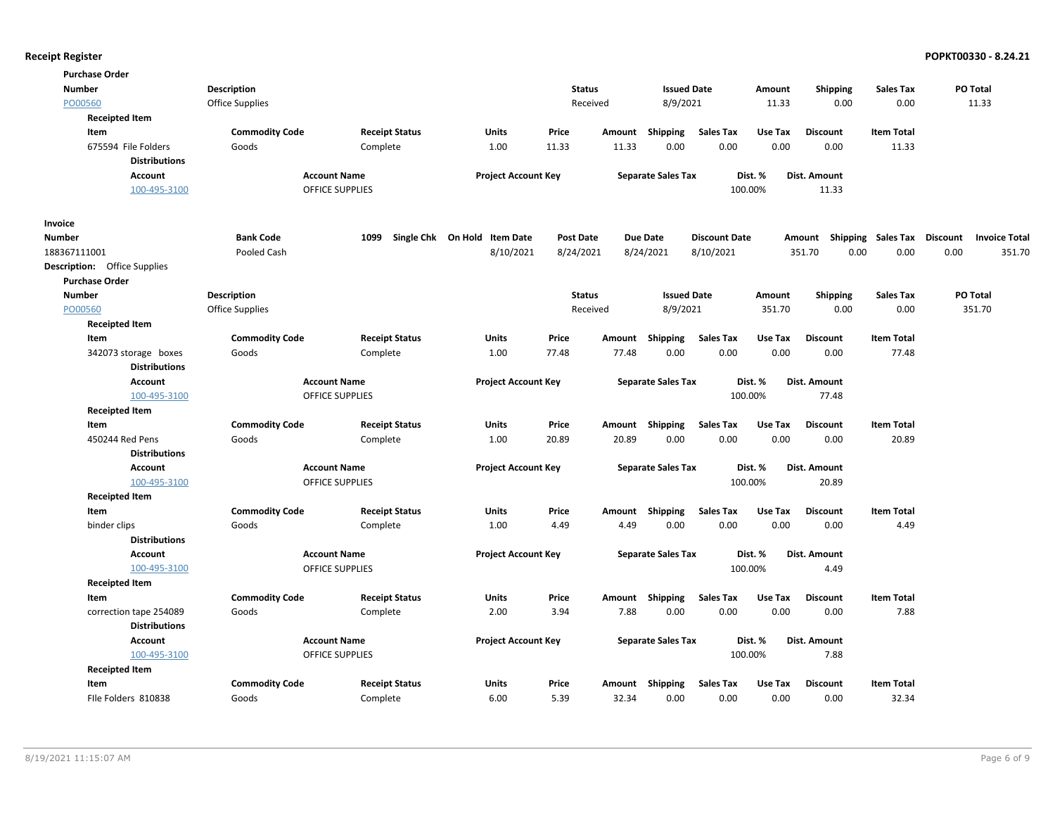| <b>Purchase Order</b>               |                       |                                               |                              |                  |        |                           |                      |         |                                    |                   |      |                      |
|-------------------------------------|-----------------------|-----------------------------------------------|------------------------------|------------------|--------|---------------------------|----------------------|---------|------------------------------------|-------------------|------|----------------------|
| <b>Number</b>                       | Description           |                                               |                              | <b>Status</b>    |        | <b>Issued Date</b>        |                      | Amount  | <b>Shipping</b>                    | Sales Tax         |      | PO Total             |
| PO00560                             | Office Supplies       |                                               |                              | Received         |        | 8/9/2021                  |                      | 11.33   | 0.00                               | 0.00              |      | 11.33                |
| <b>Receipted Item</b>               |                       |                                               |                              |                  |        |                           |                      |         |                                    |                   |      |                      |
| Item                                | <b>Commodity Code</b> | <b>Receipt Status</b>                         | <b>Units</b>                 | Price            | Amount | Shipping                  | <b>Sales Tax</b>     | Use Tax | <b>Discount</b>                    | <b>Item Total</b> |      |                      |
| 675594 File Folders                 | Goods                 | Complete                                      | 1.00                         | 11.33            | 11.33  | 0.00                      | 0.00                 | 0.00    | 0.00                               | 11.33             |      |                      |
| <b>Distributions</b>                |                       |                                               |                              |                  |        |                           |                      |         |                                    |                   |      |                      |
| <b>Account</b>                      |                       | <b>Account Name</b>                           | <b>Project Account Key</b>   |                  |        | <b>Separate Sales Tax</b> |                      | Dist. % | Dist. Amount                       |                   |      |                      |
| 100-495-3100                        |                       | <b>OFFICE SUPPLIES</b>                        |                              |                  |        |                           | 100.00%              |         | 11.33                              |                   |      |                      |
| <b>Invoice</b>                      |                       |                                               |                              |                  |        |                           |                      |         |                                    |                   |      |                      |
| <b>Number</b>                       | <b>Bank Code</b>      | 1099                                          | Single Chk On Hold Item Date | <b>Post Date</b> |        | <b>Due Date</b>           | <b>Discount Date</b> |         | Amount Shipping Sales Tax Discount |                   |      | <b>Invoice Total</b> |
| 188367111001                        | Pooled Cash           |                                               | 8/10/2021                    | 8/24/2021        |        | 8/24/2021                 | 8/10/2021            |         | 351.70<br>0.00                     | 0.00              | 0.00 | 351.70               |
| <b>Description:</b> Office Supplies |                       |                                               |                              |                  |        |                           |                      |         |                                    |                   |      |                      |
| <b>Purchase Order</b>               |                       |                                               |                              |                  |        |                           |                      |         |                                    |                   |      |                      |
| <b>Number</b>                       | <b>Description</b>    |                                               |                              | <b>Status</b>    |        | <b>Issued Date</b>        |                      | Amount  | <b>Shipping</b>                    | <b>Sales Tax</b>  |      | PO Total             |
| PO00560                             | Office Supplies       |                                               |                              | Received         |        | 8/9/2021                  |                      | 351.70  | 0.00                               | 0.00              |      | 351.70               |
| <b>Receipted Item</b>               |                       |                                               |                              |                  |        |                           |                      |         |                                    |                   |      |                      |
| Item                                | <b>Commodity Code</b> | <b>Receipt Status</b>                         | <b>Units</b>                 | Price            | Amount | Shipping                  | <b>Sales Tax</b>     | Use Tax | <b>Discount</b>                    | <b>Item Total</b> |      |                      |
| 342073 storage boxes                | Goods                 | Complete                                      | 1.00                         | 77.48            | 77.48  | 0.00                      | 0.00                 | 0.00    | 0.00                               | 77.48             |      |                      |
| <b>Distributions</b>                |                       |                                               |                              |                  |        |                           |                      |         |                                    |                   |      |                      |
| <b>Account</b>                      |                       | <b>Account Name</b>                           | <b>Project Account Key</b>   |                  |        | <b>Separate Sales Tax</b> |                      | Dist. % | Dist. Amount                       |                   |      |                      |
| 100-495-3100                        |                       | <b>OFFICE SUPPLIES</b>                        |                              |                  |        |                           | 100.00%              |         | 77.48                              |                   |      |                      |
| <b>Receipted Item</b>               |                       |                                               |                              |                  |        |                           |                      |         |                                    |                   |      |                      |
| Item                                | <b>Commodity Code</b> | <b>Receipt Status</b>                         | Units                        | Price            |        | Amount Shipping           | <b>Sales Tax</b>     | Use Tax | <b>Discount</b>                    | <b>Item Total</b> |      |                      |
| 450244 Red Pens                     | Goods                 | Complete                                      | 1.00                         | 20.89            | 20.89  | 0.00                      | 0.00                 | 0.00    | 0.00                               | 20.89             |      |                      |
| <b>Distributions</b>                |                       |                                               |                              |                  |        |                           |                      |         |                                    |                   |      |                      |
| <b>Account</b><br>100-495-3100      |                       | <b>Account Name</b><br><b>OFFICE SUPPLIES</b> | <b>Project Account Key</b>   |                  |        | <b>Separate Sales Tax</b> | 100.00%              | Dist. % | Dist. Amount                       |                   |      |                      |
|                                     |                       |                                               |                              |                  |        |                           |                      |         | 20.89                              |                   |      |                      |
| <b>Receipted Item</b><br>Item       | <b>Commodity Code</b> | <b>Receipt Status</b>                         | Units                        | Price            |        | Amount Shipping           | <b>Sales Tax</b>     | Use Tax | <b>Discount</b>                    | <b>Item Total</b> |      |                      |
| binder clips                        | Goods                 | Complete                                      | 1.00                         | 4.49             | 4.49   | 0.00                      | 0.00                 | 0.00    | 0.00                               | 4.49              |      |                      |
| <b>Distributions</b>                |                       |                                               |                              |                  |        |                           |                      |         |                                    |                   |      |                      |
| <b>Account</b>                      |                       | <b>Account Name</b>                           | <b>Project Account Key</b>   |                  |        | <b>Separate Sales Tax</b> |                      | Dist. % | Dist. Amount                       |                   |      |                      |
| 100-495-3100                        |                       | OFFICE SUPPLIES                               |                              |                  |        |                           | 100.00%              |         | 4.49                               |                   |      |                      |
| <b>Receipted Item</b>               |                       |                                               |                              |                  |        |                           |                      |         |                                    |                   |      |                      |
| Item                                | <b>Commodity Code</b> | <b>Receipt Status</b>                         | Units                        | Price            |        | Amount Shipping           | <b>Sales Tax</b>     | Use Tax | <b>Discount</b>                    | <b>Item Total</b> |      |                      |
| correction tape 254089              | Goods                 | Complete                                      | 2.00                         | 3.94             | 7.88   | 0.00                      | 0.00                 | 0.00    | 0.00                               | 7.88              |      |                      |
| <b>Distributions</b>                |                       |                                               |                              |                  |        |                           |                      |         |                                    |                   |      |                      |
| <b>Account</b>                      |                       | <b>Account Name</b>                           | <b>Project Account Key</b>   |                  |        | <b>Separate Sales Tax</b> |                      | Dist. % | Dist. Amount                       |                   |      |                      |
| 100-495-3100                        |                       | <b>OFFICE SUPPLIES</b>                        |                              |                  |        |                           | 100.00%              |         | 7.88                               |                   |      |                      |
| <b>Receipted Item</b>               |                       |                                               |                              |                  |        |                           |                      |         |                                    |                   |      |                      |
| Item                                | <b>Commodity Code</b> | <b>Receipt Status</b>                         | <b>Units</b>                 | Price            | Amount | Shipping                  | <b>Sales Tax</b>     | Use Tax | <b>Discount</b>                    | <b>Item Total</b> |      |                      |
| File Folders 810838                 | Goods                 | Complete                                      | 6.00                         | 5.39             | 32.34  | 0.00                      | 0.00                 | 0.00    | 0.00                               | 32.34             |      |                      |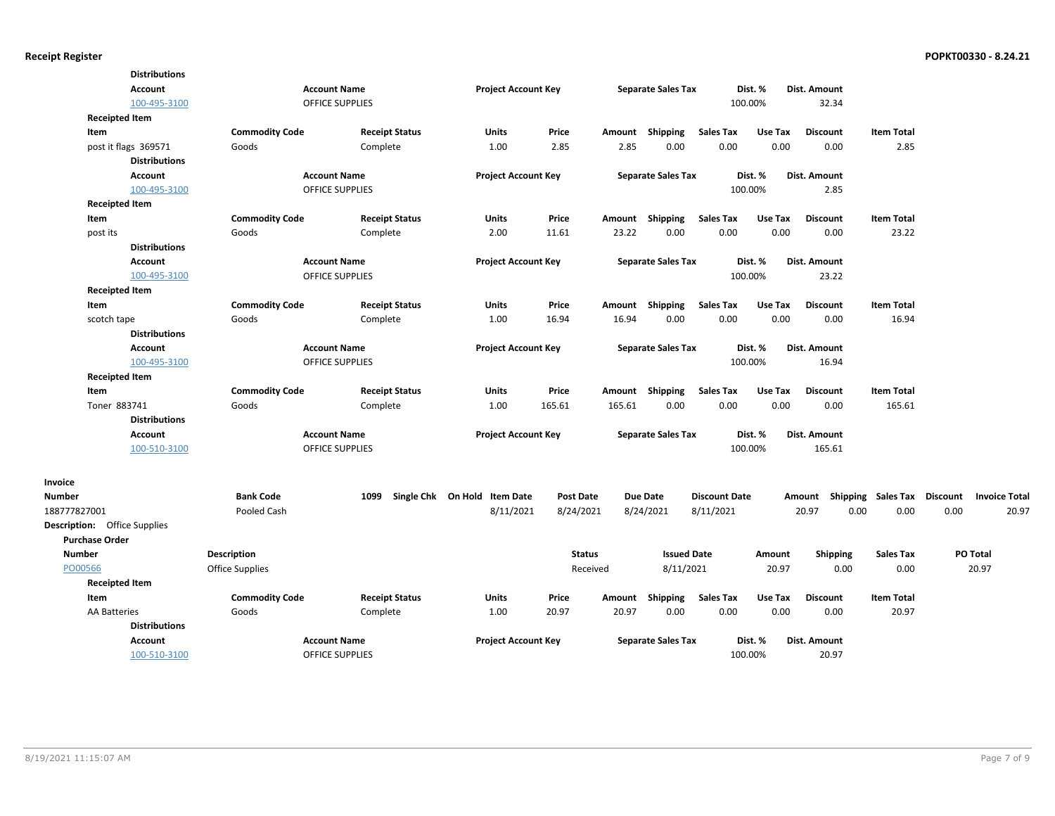|                                     | <b>Distributions</b> |                        |                        |                              |                  |        |                           |                      |         |                     |                    |                                         |
|-------------------------------------|----------------------|------------------------|------------------------|------------------------------|------------------|--------|---------------------------|----------------------|---------|---------------------|--------------------|-----------------------------------------|
|                                     | <b>Account</b>       |                        | <b>Account Name</b>    | <b>Project Account Key</b>   |                  |        | <b>Separate Sales Tax</b> |                      | Dist. % | Dist. Amount        |                    |                                         |
|                                     | 100-495-3100         |                        | <b>OFFICE SUPPLIES</b> |                              |                  |        |                           |                      | 100.00% | 32.34               |                    |                                         |
| <b>Receipted Item</b>               |                      |                        |                        |                              |                  |        |                           |                      |         |                     |                    |                                         |
| Item                                |                      | <b>Commodity Code</b>  | <b>Receipt Status</b>  | Units                        | Price            | Amount | Shipping                  | <b>Sales Tax</b>     | Use Tax | <b>Discount</b>     | <b>Item Total</b>  |                                         |
| post it flags 369571                |                      | Goods                  | Complete               | 1.00                         | 2.85             | 2.85   | 0.00                      | 0.00                 | 0.00    | 0.00                | 2.85               |                                         |
|                                     | <b>Distributions</b> |                        |                        |                              |                  |        |                           |                      |         |                     |                    |                                         |
|                                     | <b>Account</b>       |                        | <b>Account Name</b>    | <b>Project Account Key</b>   |                  |        | <b>Separate Sales Tax</b> |                      | Dist. % | Dist. Amount        |                    |                                         |
|                                     | 100-495-3100         |                        | OFFICE SUPPLIES        |                              |                  |        |                           |                      | 100.00% | 2.85                |                    |                                         |
| <b>Receipted Item</b>               |                      |                        |                        |                              |                  |        |                           |                      |         |                     |                    |                                         |
| Item                                |                      | <b>Commodity Code</b>  | <b>Receipt Status</b>  | Units                        | Price            |        | Amount Shipping           | <b>Sales Tax</b>     | Use Tax | <b>Discount</b>     | <b>Item Total</b>  |                                         |
| post its                            |                      | Goods                  | Complete               | 2.00                         | 11.61            | 23.22  | 0.00                      | 0.00                 | 0.00    | 0.00                | 23.22              |                                         |
|                                     | <b>Distributions</b> |                        |                        |                              |                  |        |                           |                      |         |                     |                    |                                         |
|                                     | <b>Account</b>       |                        | <b>Account Name</b>    | <b>Project Account Key</b>   |                  |        | <b>Separate Sales Tax</b> |                      | Dist. % | <b>Dist. Amount</b> |                    |                                         |
|                                     | 100-495-3100         |                        | OFFICE SUPPLIES        |                              |                  |        |                           |                      | 100.00% | 23.22               |                    |                                         |
| <b>Receipted Item</b>               |                      |                        |                        |                              |                  |        |                           |                      |         |                     |                    |                                         |
| Item                                |                      | <b>Commodity Code</b>  | <b>Receipt Status</b>  | Units                        | Price            | Amount | Shipping                  | <b>Sales Tax</b>     | Use Tax | <b>Discount</b>     | <b>Item Total</b>  |                                         |
| scotch tape                         |                      | Goods                  | Complete               | 1.00                         | 16.94            | 16.94  | 0.00                      | 0.00                 | 0.00    | 0.00                | 16.94              |                                         |
|                                     | <b>Distributions</b> |                        |                        |                              |                  |        |                           |                      |         |                     |                    |                                         |
|                                     | <b>Account</b>       |                        | <b>Account Name</b>    | <b>Project Account Key</b>   |                  |        | <b>Separate Sales Tax</b> |                      | Dist. % | <b>Dist. Amount</b> |                    |                                         |
|                                     | 100-495-3100         |                        | OFFICE SUPPLIES        |                              |                  |        |                           |                      | 100.00% | 16.94               |                    |                                         |
| <b>Receipted Item</b>               |                      |                        |                        |                              |                  |        |                           |                      |         |                     |                    |                                         |
| Item                                |                      | <b>Commodity Code</b>  | <b>Receipt Status</b>  | Units                        | Price            |        | Amount Shipping           | <b>Sales Tax</b>     | Use Tax | <b>Discount</b>     | <b>Item Total</b>  |                                         |
| Toner 883741                        |                      | Goods                  | Complete               | 1.00                         | 165.61           | 165.61 | 0.00                      | 0.00                 | 0.00    | 0.00                | 165.61             |                                         |
|                                     | <b>Distributions</b> |                        |                        |                              |                  |        |                           |                      |         |                     |                    |                                         |
|                                     | <b>Account</b>       |                        | <b>Account Name</b>    | <b>Project Account Key</b>   |                  |        | <b>Separate Sales Tax</b> |                      | Dist. % | Dist. Amount        |                    |                                         |
|                                     | 100-510-3100         |                        | <b>OFFICE SUPPLIES</b> |                              |                  |        |                           |                      | 100.00% | 165.61              |                    |                                         |
| Invoice                             |                      |                        |                        |                              |                  |        |                           |                      |         |                     |                    |                                         |
| <b>Number</b>                       |                      | <b>Bank Code</b>       | 1099                   | Single Chk On Hold Item Date | <b>Post Date</b> |        | <b>Due Date</b>           | <b>Discount Date</b> |         | Amount              | Shipping Sales Tax | <b>Discount</b><br><b>Invoice Total</b> |
| 188777827001                        |                      | Pooled Cash            |                        | 8/11/2021                    | 8/24/2021        |        | 8/24/2021                 | 8/11/2021            |         | 20.97               | 0.00<br>0.00       | 0.00<br>20.97                           |
| <b>Description:</b> Office Supplies |                      |                        |                        |                              |                  |        |                           |                      |         |                     |                    |                                         |
| <b>Purchase Order</b>               |                      |                        |                        |                              |                  |        |                           |                      |         |                     |                    |                                         |
| <b>Number</b>                       |                      | <b>Description</b>     |                        |                              | <b>Status</b>    |        | <b>Issued Date</b>        |                      | Amount  | <b>Shipping</b>     | <b>Sales Tax</b>   | PO Total                                |
| PO00566                             |                      | <b>Office Supplies</b> |                        |                              | Received         |        | 8/11/2021                 |                      | 20.97   | 0.00                | 0.00               | 20.97                                   |
| <b>Receipted Item</b>               |                      |                        |                        |                              |                  |        |                           |                      |         |                     |                    |                                         |
| Item                                |                      | <b>Commodity Code</b>  | <b>Receipt Status</b>  | <b>Units</b>                 | Price            | Amount | Shipping                  | <b>Sales Tax</b>     | Use Tax | <b>Discount</b>     | <b>Item Total</b>  |                                         |
| <b>AA Batteries</b>                 |                      | Goods                  | Complete               | 1.00                         | 20.97            | 20.97  | 0.00                      | 0.00                 | 0.00    | 0.00                | 20.97              |                                         |
|                                     | <b>Distributions</b> |                        |                        |                              |                  |        |                           |                      |         |                     |                    |                                         |
|                                     | <b>Account</b>       |                        | <b>Account Name</b>    | <b>Project Account Key</b>   |                  |        | <b>Separate Sales Tax</b> |                      | Dist. % | Dist. Amount        |                    |                                         |
|                                     | 100-510-3100         |                        | <b>OFFICE SUPPLIES</b> |                              |                  |        |                           |                      | 100.00% | 20.97               |                    |                                         |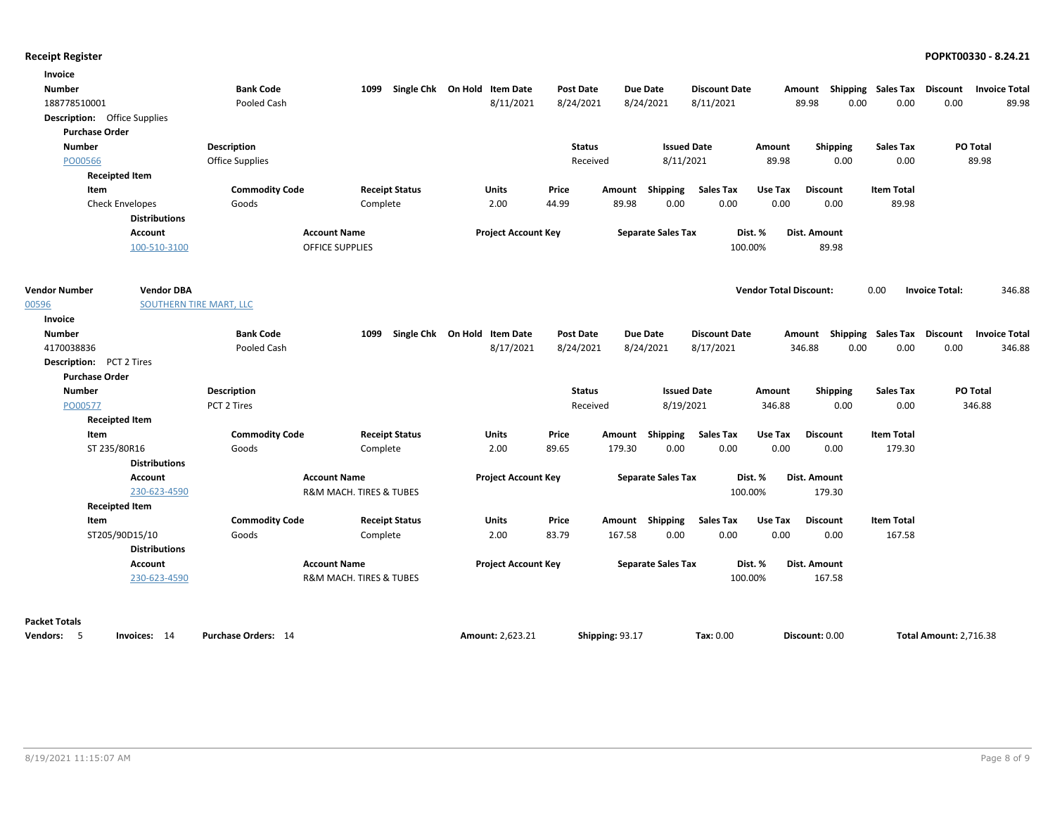| Invoice                             |                                |                            |                                        |                              |                  |                 |                           |                      |                               |                                    |                   |                               |                      |
|-------------------------------------|--------------------------------|----------------------------|----------------------------------------|------------------------------|------------------|-----------------|---------------------------|----------------------|-------------------------------|------------------------------------|-------------------|-------------------------------|----------------------|
| <b>Number</b>                       |                                | <b>Bank Code</b>           | 1099                                   | Single Chk On Hold Item Date | <b>Post Date</b> |                 | <b>Due Date</b>           | <b>Discount Date</b> |                               | Amount Shipping Sales Tax          |                   | Discount                      | <b>Invoice Total</b> |
| 188778510001                        |                                | Pooled Cash                |                                        | 8/11/2021                    | 8/24/2021        |                 | 8/24/2021                 | 8/11/2021            |                               | 89.98<br>0.00                      | 0.00              | 0.00                          | 89.98                |
| <b>Description:</b> Office Supplies |                                |                            |                                        |                              |                  |                 |                           |                      |                               |                                    |                   |                               |                      |
| <b>Purchase Order</b>               |                                |                            |                                        |                              |                  |                 |                           |                      |                               |                                    |                   |                               |                      |
| <b>Number</b>                       |                                | <b>Description</b>         |                                        |                              | <b>Status</b>    |                 | <b>Issued Date</b>        |                      | Amount                        | Shipping                           | Sales Tax         | PO Total                      |                      |
| PO00566                             |                                | Office Supplies            |                                        |                              | Received         |                 | 8/11/2021                 |                      | 89.98                         | 0.00                               | 0.00              |                               | 89.98                |
|                                     | <b>Receipted Item</b>          |                            |                                        |                              |                  |                 |                           |                      |                               |                                    |                   |                               |                      |
| Item                                |                                | <b>Commodity Code</b>      | <b>Receipt Status</b>                  | Units                        | Price            |                 | Amount Shipping           | <b>Sales Tax</b>     | Use Tax                       | <b>Discount</b>                    | <b>Item Total</b> |                               |                      |
|                                     | <b>Check Envelopes</b>         | Goods                      | Complete                               | 2.00                         | 44.99            | 89.98           | 0.00                      | 0.00                 | 0.00                          | 0.00                               | 89.98             |                               |                      |
|                                     | <b>Distributions</b>           |                            |                                        |                              |                  |                 |                           |                      |                               |                                    |                   |                               |                      |
|                                     | <b>Account</b>                 |                            | <b>Account Name</b>                    | <b>Project Account Key</b>   |                  |                 | <b>Separate Sales Tax</b> |                      | Dist. %                       | Dist. Amount                       |                   |                               |                      |
|                                     | 100-510-3100                   |                            | <b>OFFICE SUPPLIES</b>                 |                              |                  |                 |                           | 100.00%              |                               | 89.98                              |                   |                               |                      |
|                                     |                                |                            |                                        |                              |                  |                 |                           |                      |                               |                                    |                   |                               |                      |
| <b>Vendor Number</b>                | <b>Vendor DBA</b>              |                            |                                        |                              |                  |                 |                           |                      | <b>Vendor Total Discount:</b> |                                    | 0.00              | <b>Invoice Total:</b>         | 346.88               |
| 00596                               | <b>SOUTHERN TIRE MART, LLC</b> |                            |                                        |                              |                  |                 |                           |                      |                               |                                    |                   |                               |                      |
| <b>Invoice</b><br><b>Number</b>     |                                | <b>Bank Code</b>           | 1099                                   | Single Chk On Hold Item Date | <b>Post Date</b> |                 | <b>Due Date</b>           | <b>Discount Date</b> |                               | Amount Shipping Sales Tax Discount |                   |                               | <b>Invoice Total</b> |
| 4170038836                          |                                | Pooled Cash                |                                        | 8/17/2021                    | 8/24/2021        |                 | 8/24/2021                 | 8/17/2021            |                               | 0.00<br>346.88                     | 0.00              | 0.00                          | 346.88               |
| <b>Description:</b> PCT 2 Tires     |                                |                            |                                        |                              |                  |                 |                           |                      |                               |                                    |                   |                               |                      |
| <b>Purchase Order</b>               |                                |                            |                                        |                              |                  |                 |                           |                      |                               |                                    |                   |                               |                      |
| <b>Number</b>                       |                                | <b>Description</b>         |                                        |                              | <b>Status</b>    |                 | <b>Issued Date</b>        |                      | Amount                        | <b>Shipping</b>                    | <b>Sales Tax</b>  | PO Total                      |                      |
| PO00577                             |                                | PCT 2 Tires                |                                        |                              | Received         |                 | 8/19/2021                 |                      | 346.88                        | 0.00                               | 0.00              |                               | 346.88               |
|                                     | <b>Receipted Item</b>          |                            |                                        |                              |                  |                 |                           |                      |                               |                                    |                   |                               |                      |
| Item                                |                                | <b>Commodity Code</b>      | <b>Receipt Status</b>                  | Units                        | Price            |                 | Amount Shipping           | <b>Sales Tax</b>     | Use Tax                       | <b>Discount</b>                    | <b>Item Total</b> |                               |                      |
|                                     | ST 235/80R16                   | Goods                      | Complete                               | 2.00                         | 89.65            | 179.30          | 0.00                      | 0.00                 | 0.00                          | 0.00                               | 179.30            |                               |                      |
|                                     | <b>Distributions</b>           |                            |                                        |                              |                  |                 |                           |                      |                               |                                    |                   |                               |                      |
|                                     | <b>Account</b>                 |                            | <b>Account Name</b>                    | <b>Project Account Key</b>   |                  |                 | <b>Separate Sales Tax</b> |                      | Dist. %                       | Dist. Amount                       |                   |                               |                      |
|                                     | 230-623-4590                   |                            | R&M MACH. TIRES & TUBES                |                              |                  |                 |                           | 100.00%              |                               | 179.30                             |                   |                               |                      |
|                                     | <b>Receipted Item</b>          |                            |                                        |                              |                  |                 |                           |                      |                               |                                    |                   |                               |                      |
| Item                                |                                | <b>Commodity Code</b>      | <b>Receipt Status</b>                  | Units                        | Price            |                 | Amount Shipping           | <b>Sales Tax</b>     | Use Tax                       | <b>Discount</b>                    | <b>Item Total</b> |                               |                      |
|                                     | ST205/90D15/10                 | Goods                      | Complete                               | 2.00                         | 83.79            | 167.58          | 0.00                      | 0.00                 | 0.00                          | 0.00                               | 167.58            |                               |                      |
|                                     | <b>Distributions</b>           |                            |                                        |                              |                  |                 |                           |                      |                               |                                    |                   |                               |                      |
|                                     | <b>Account</b>                 |                            | <b>Account Name</b>                    | <b>Project Account Key</b>   |                  |                 | <b>Separate Sales Tax</b> |                      | Dist. %                       | Dist. Amount                       |                   |                               |                      |
|                                     | 230-623-4590                   |                            | <b>R&amp;M MACH. TIRES &amp; TUBES</b> |                              |                  |                 |                           | 100.00%              |                               | 167.58                             |                   |                               |                      |
|                                     |                                |                            |                                        |                              |                  |                 |                           |                      |                               |                                    |                   |                               |                      |
| <b>Packet Totals</b><br>Vendors: 5  | Invoices: 14                   | <b>Purchase Orders: 14</b> |                                        | Amount: 2,623.21             |                  | Shipping: 93.17 |                           | Tax: 0.00            |                               | Discount: 0.00                     |                   | <b>Total Amount: 2,716.38</b> |                      |
|                                     |                                |                            |                                        |                              |                  |                 |                           |                      |                               |                                    |                   |                               |                      |